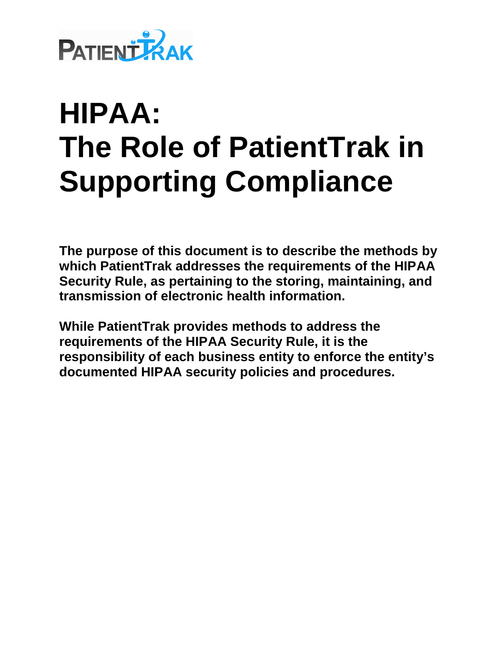

**The purpose of this document is to describe the methods by which PatientTrak addresses the requirements of the HIPAA Security Rule, as pertaining to the storing, maintaining, and transmission of electronic health information.** 

**While PatientTrak provides methods to address the requirements of the HIPAA Security Rule, it is the responsibility of each business entity to enforce the entity's documented HIPAA security policies and procedures.**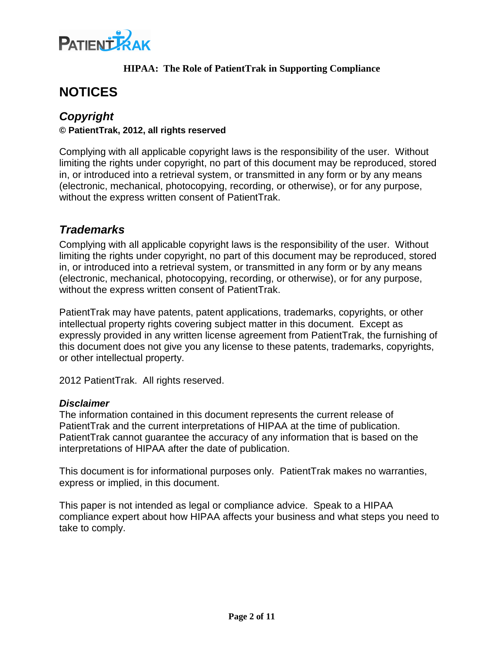

# **NOTICES**

#### **Copyright © PatientTrak, 2012, all rights reserved**

Complying with all applicable copyright laws is the responsibility of the user. Without limiting the rights under copyright, no part of this document may be reproduced, stored in, or introduced into a retrieval system, or transmitted in any form or by any means (electronic, mechanical, photocopying, recording, or otherwise), or for any purpose, without the express written consent of PatientTrak.

## **Trademarks**

Complying with all applicable copyright laws is the responsibility of the user. Without limiting the rights under copyright, no part of this document may be reproduced, stored in, or introduced into a retrieval system, or transmitted in any form or by any means (electronic, mechanical, photocopying, recording, or otherwise), or for any purpose, without the express written consent of PatientTrak.

PatientTrak may have patents, patent applications, trademarks, copyrights, or other intellectual property rights covering subject matter in this document. Except as expressly provided in any written license agreement from PatientTrak, the furnishing of this document does not give you any license to these patents, trademarks, copyrights, or other intellectual property.

2012 PatientTrak. All rights reserved.

#### **Disclaimer**

The information contained in this document represents the current release of PatientTrak and the current interpretations of HIPAA at the time of publication. PatientTrak cannot guarantee the accuracy of any information that is based on the interpretations of HIPAA after the date of publication.

This document is for informational purposes only. PatientTrak makes no warranties, express or implied, in this document.

This paper is not intended as legal or compliance advice. Speak to a HIPAA compliance expert about how HIPAA affects your business and what steps you need to take to comply.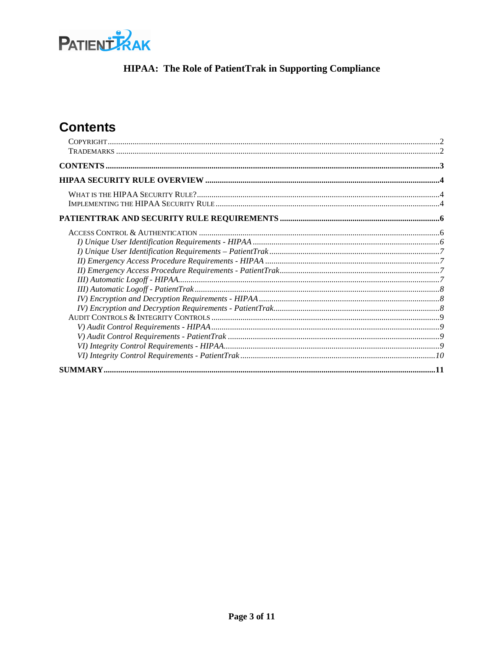

# **Contents**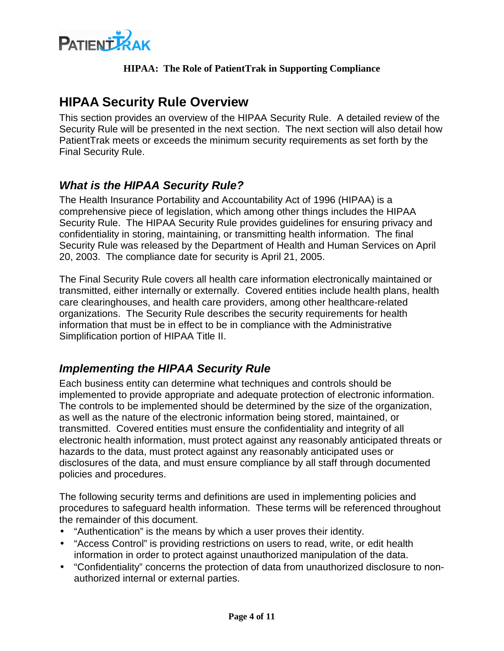

# **HIPAA Security Rule Overview**

This section provides an overview of the HIPAA Security Rule. A detailed review of the Security Rule will be presented in the next section. The next section will also detail how PatientTrak meets or exceeds the minimum security requirements as set forth by the Final Security Rule.

# **What is the HIPAA Security Rule?**

The Health Insurance Portability and Accountability Act of 1996 (HIPAA) is a comprehensive piece of legislation, which among other things includes the HIPAA Security Rule. The HIPAA Security Rule provides guidelines for ensuring privacy and confidentiality in storing, maintaining, or transmitting health information. The final Security Rule was released by the Department of Health and Human Services on April 20, 2003. The compliance date for security is April 21, 2005.

The Final Security Rule covers all health care information electronically maintained or transmitted, either internally or externally. Covered entities include health plans, health care clearinghouses, and health care providers, among other healthcare-related organizations. The Security Rule describes the security requirements for health information that must be in effect to be in compliance with the Administrative Simplification portion of HIPAA Title II.

# **Implementing the HIPAA Security Rule**

Each business entity can determine what techniques and controls should be implemented to provide appropriate and adequate protection of electronic information. The controls to be implemented should be determined by the size of the organization, as well as the nature of the electronic information being stored, maintained, or transmitted. Covered entities must ensure the confidentiality and integrity of all electronic health information, must protect against any reasonably anticipated threats or hazards to the data, must protect against any reasonably anticipated uses or disclosures of the data, and must ensure compliance by all staff through documented policies and procedures.

The following security terms and definitions are used in implementing policies and procedures to safeguard health information. These terms will be referenced throughout the remainder of this document.

- "Authentication" is the means by which a user proves their identity.
- "Access Control" is providing restrictions on users to read, write, or edit health information in order to protect against unauthorized manipulation of the data.
- "Confidentiality" concerns the protection of data from unauthorized disclosure to nonauthorized internal or external parties.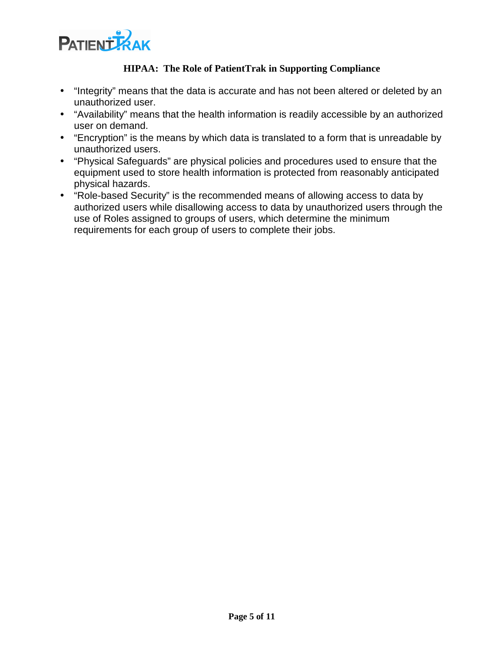

- "Integrity" means that the data is accurate and has not been altered or deleted by an unauthorized user.
- "Availability" means that the health information is readily accessible by an authorized user on demand.
- "Encryption" is the means by which data is translated to a form that is unreadable by unauthorized users.
- "Physical Safeguards" are physical policies and procedures used to ensure that the equipment used to store health information is protected from reasonably anticipated physical hazards.
- "Role-based Security" is the recommended means of allowing access to data by authorized users while disallowing access to data by unauthorized users through the use of Roles assigned to groups of users, which determine the minimum requirements for each group of users to complete their jobs.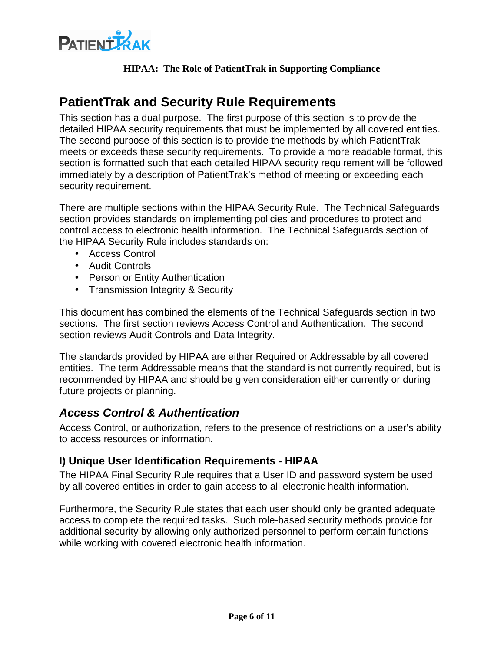

# **PatientTrak and Security Rule Requirements**

This section has a dual purpose. The first purpose of this section is to provide the detailed HIPAA security requirements that must be implemented by all covered entities. The second purpose of this section is to provide the methods by which PatientTrak meets or exceeds these security requirements. To provide a more readable format, this section is formatted such that each detailed HIPAA security requirement will be followed immediately by a description of PatientTrak's method of meeting or exceeding each security requirement.

There are multiple sections within the HIPAA Security Rule. The Technical Safeguards section provides standards on implementing policies and procedures to protect and control access to electronic health information. The Technical Safeguards section of the HIPAA Security Rule includes standards on:

- Access Control
- Audit Controls
- Person or Entity Authentication
- Transmission Integrity & Security

This document has combined the elements of the Technical Safeguards section in two sections. The first section reviews Access Control and Authentication. The second section reviews Audit Controls and Data Integrity.

The standards provided by HIPAA are either Required or Addressable by all covered entities. The term Addressable means that the standard is not currently required, but is recommended by HIPAA and should be given consideration either currently or during future projects or planning.

## **Access Control & Authentication**

Access Control, or authorization, refers to the presence of restrictions on a user's ability to access resources or information.

#### **I) Unique User Identification Requirements - HIPAA**

The HIPAA Final Security Rule requires that a User ID and password system be used by all covered entities in order to gain access to all electronic health information.

Furthermore, the Security Rule states that each user should only be granted adequate access to complete the required tasks. Such role-based security methods provide for additional security by allowing only authorized personnel to perform certain functions while working with covered electronic health information.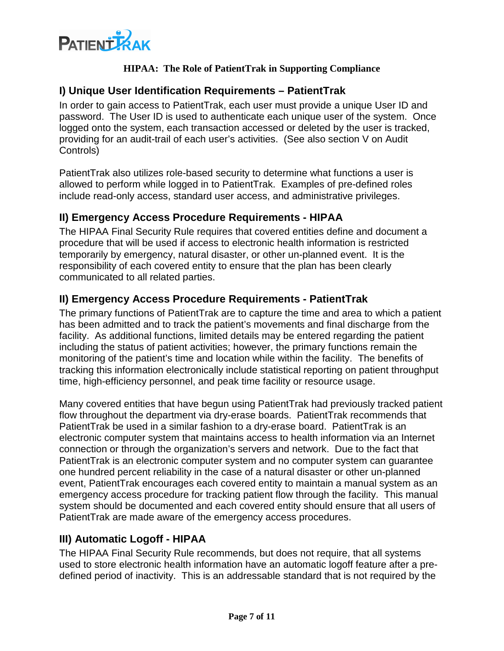

#### **I) Unique User Identification Requirements – PatientTrak**

In order to gain access to PatientTrak, each user must provide a unique User ID and password. The User ID is used to authenticate each unique user of the system. Once logged onto the system, each transaction accessed or deleted by the user is tracked, providing for an audit-trail of each user's activities. (See also section V on Audit Controls)

PatientTrak also utilizes role-based security to determine what functions a user is allowed to perform while logged in to PatientTrak. Examples of pre-defined roles include read-only access, standard user access, and administrative privileges.

#### **II) Emergency Access Procedure Requirements - HIPAA**

The HIPAA Final Security Rule requires that covered entities define and document a procedure that will be used if access to electronic health information is restricted temporarily by emergency, natural disaster, or other un-planned event. It is the responsibility of each covered entity to ensure that the plan has been clearly communicated to all related parties.

#### **II) Emergency Access Procedure Requirements - PatientTrak**

The primary functions of PatientTrak are to capture the time and area to which a patient has been admitted and to track the patient's movements and final discharge from the facility. As additional functions, limited details may be entered regarding the patient including the status of patient activities; however, the primary functions remain the monitoring of the patient's time and location while within the facility. The benefits of tracking this information electronically include statistical reporting on patient throughput time, high-efficiency personnel, and peak time facility or resource usage.

Many covered entities that have begun using PatientTrak had previously tracked patient flow throughout the department via dry-erase boards. PatientTrak recommends that PatientTrak be used in a similar fashion to a dry-erase board. PatientTrak is an electronic computer system that maintains access to health information via an Internet connection or through the organization's servers and network. Due to the fact that PatientTrak is an electronic computer system and no computer system can guarantee one hundred percent reliability in the case of a natural disaster or other un-planned event, PatientTrak encourages each covered entity to maintain a manual system as an emergency access procedure for tracking patient flow through the facility. This manual system should be documented and each covered entity should ensure that all users of PatientTrak are made aware of the emergency access procedures.

## **III) Automatic Logoff - HIPAA**

The HIPAA Final Security Rule recommends, but does not require, that all systems used to store electronic health information have an automatic logoff feature after a predefined period of inactivity. This is an addressable standard that is not required by the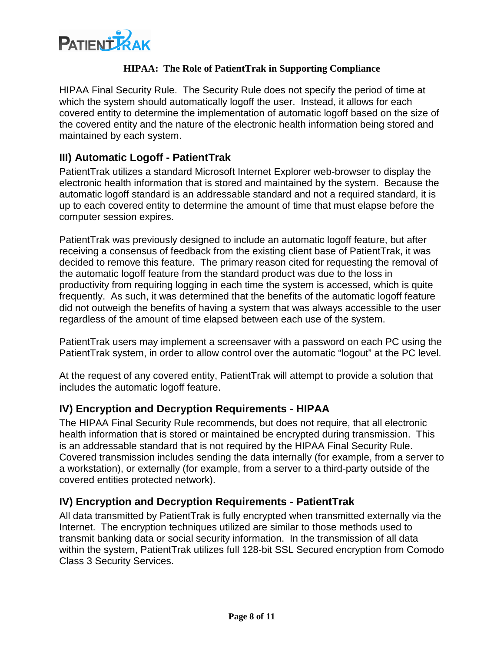

HIPAA Final Security Rule. The Security Rule does not specify the period of time at which the system should automatically logoff the user. Instead, it allows for each covered entity to determine the implementation of automatic logoff based on the size of the covered entity and the nature of the electronic health information being stored and maintained by each system.

### **III) Automatic Logoff - PatientTrak**

PatientTrak utilizes a standard Microsoft Internet Explorer web-browser to display the electronic health information that is stored and maintained by the system. Because the automatic logoff standard is an addressable standard and not a required standard, it is up to each covered entity to determine the amount of time that must elapse before the computer session expires.

PatientTrak was previously designed to include an automatic logoff feature, but after receiving a consensus of feedback from the existing client base of PatientTrak, it was decided to remove this feature. The primary reason cited for requesting the removal of the automatic logoff feature from the standard product was due to the loss in productivity from requiring logging in each time the system is accessed, which is quite frequently. As such, it was determined that the benefits of the automatic logoff feature did not outweigh the benefits of having a system that was always accessible to the user regardless of the amount of time elapsed between each use of the system.

PatientTrak users may implement a screensaver with a password on each PC using the PatientTrak system, in order to allow control over the automatic "logout" at the PC level.

At the request of any covered entity, PatientTrak will attempt to provide a solution that includes the automatic logoff feature.

#### **IV) Encryption and Decryption Requirements - HIPAA**

The HIPAA Final Security Rule recommends, but does not require, that all electronic health information that is stored or maintained be encrypted during transmission. This is an addressable standard that is not required by the HIPAA Final Security Rule. Covered transmission includes sending the data internally (for example, from a server to a workstation), or externally (for example, from a server to a third-party outside of the covered entities protected network).

#### **IV) Encryption and Decryption Requirements - PatientTrak**

All data transmitted by PatientTrak is fully encrypted when transmitted externally via the Internet. The encryption techniques utilized are similar to those methods used to transmit banking data or social security information. In the transmission of all data within the system, PatientTrak utilizes full 128-bit SSL Secured encryption from Comodo Class 3 Security Services.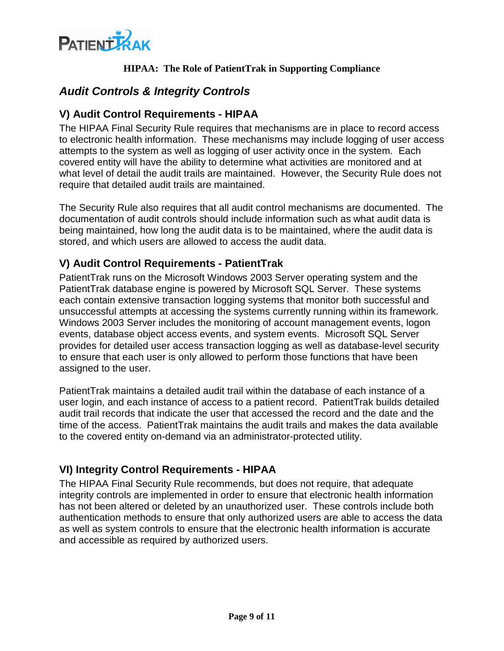

# **Audit Controls & Integrity Controls**

#### **V) Audit Control Requirements - HIPAA**

The HIPAA Final Security Rule requires that mechanisms are in place to record access to electronic health information. These mechanisms may include logging of user access attempts to the system as well as logging of user activity once in the system. Each covered entity will have the ability to determine what activities are monitored and at what level of detail the audit trails are maintained. However, the Security Rule does not require that detailed audit trails are maintained.

The Security Rule also requires that all audit control mechanisms are documented. The documentation of audit controls should include information such as what audit data is being maintained, how long the audit data is to be maintained, where the audit data is stored, and which users are allowed to access the audit data.

#### **V) Audit Control Requirements - PatientTrak**

PatientTrak runs on the Microsoft Windows 2003 Server operating system and the PatientTrak database engine is powered by Microsoft SQL Server. These systems each contain extensive transaction logging systems that monitor both successful and unsuccessful attempts at accessing the systems currently running within its framework. Windows 2003 Server includes the monitoring of account management events, logon events, database object access events, and system events. Microsoft SQL Server provides for detailed user access transaction logging as well as database-level security to ensure that each user is only allowed to perform those functions that have been assigned to the user.

PatientTrak maintains a detailed audit trail within the database of each instance of a user login, and each instance of access to a patient record. PatientTrak builds detailed audit trail records that indicate the user that accessed the record and the date and the time of the access. PatientTrak maintains the audit trails and makes the data available to the covered entity on-demand via an administrator-protected utility.

#### **VI) Integrity Control Requirements - HIPAA**

The HIPAA Final Security Rule recommends, but does not require, that adequate integrity controls are implemented in order to ensure that electronic health information has not been altered or deleted by an unauthorized user. These controls include both authentication methods to ensure that only authorized users are able to access the data as well as system controls to ensure that the electronic health information is accurate and accessible as required by authorized users.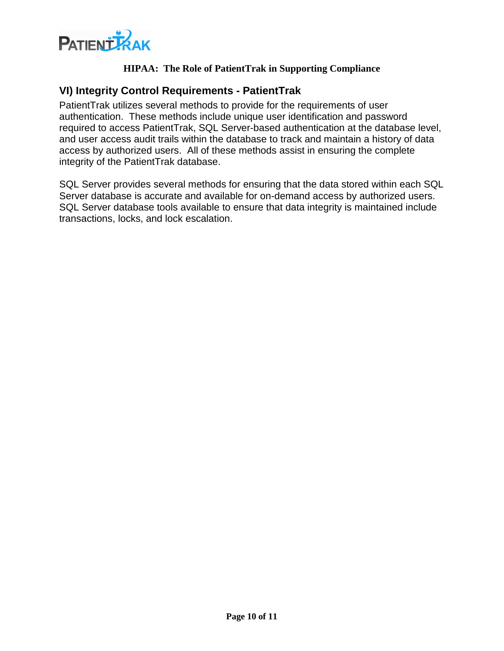

#### **VI) Integrity Control Requirements - PatientTrak**

PatientTrak utilizes several methods to provide for the requirements of user authentication. These methods include unique user identification and password required to access PatientTrak, SQL Server-based authentication at the database level, and user access audit trails within the database to track and maintain a history of data access by authorized users. All of these methods assist in ensuring the complete integrity of the PatientTrak database.

SQL Server provides several methods for ensuring that the data stored within each SQL Server database is accurate and available for on-demand access by authorized users. SQL Server database tools available to ensure that data integrity is maintained include transactions, locks, and lock escalation.